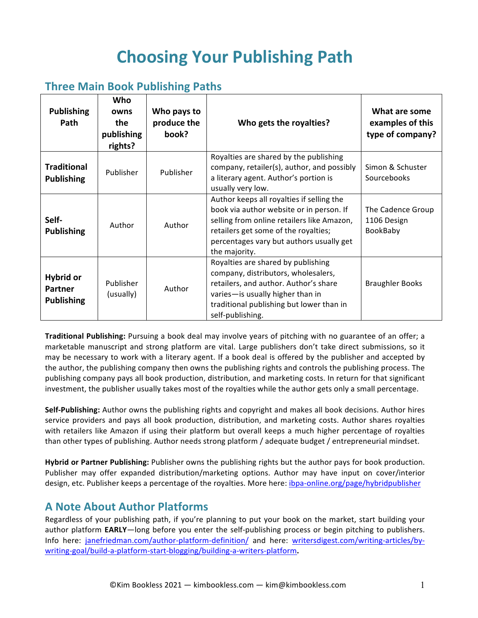# **Choosing Your Publishing Path**

## **Three Main Book Publishing Paths**

| <b>Publishing</b><br>Path                               | Who<br>owns<br>the<br>publishing<br>rights? | Who pays to<br>produce the<br>book? | Who gets the royalties?                                                                                                                                                                                                                  | What are some<br>examples of this<br>type of company? |
|---------------------------------------------------------|---------------------------------------------|-------------------------------------|------------------------------------------------------------------------------------------------------------------------------------------------------------------------------------------------------------------------------------------|-------------------------------------------------------|
| <b>Traditional</b><br><b>Publishing</b>                 | Publisher                                   | Publisher                           | Royalties are shared by the publishing<br>company, retailer(s), author, and possibly<br>a literary agent. Author's portion is<br>usually very low.                                                                                       | Simon & Schuster<br>Sourcebooks                       |
| Self-<br><b>Publishing</b>                              | Author                                      | Author                              | Author keeps all royalties if selling the<br>book via author website or in person. If<br>selling from online retailers like Amazon,<br>retailers get some of the royalties;<br>percentages vary but authors usually get<br>the majority. | The Cadence Group<br>1106 Design<br>BookBaby          |
| <b>Hybrid or</b><br><b>Partner</b><br><b>Publishing</b> | Publisher<br>(usually)                      | Author                              | Royalties are shared by publishing<br>company, distributors, wholesalers,<br>retailers, and author. Author's share<br>varies-is usually higher than in<br>traditional publishing but lower than in<br>self-publishing.                   | <b>Braughler Books</b>                                |

**Traditional Publishing:** Pursuing a book deal may involve years of pitching with no guarantee of an offer; a marketable manuscript and strong platform are vital. Large publishers don't take direct submissions, so it may be necessary to work with a literary agent. If a book deal is offered by the publisher and accepted by the author, the publishing company then owns the publishing rights and controls the publishing process. The publishing company pays all book production, distribution, and marketing costs. In return for that significant investment, the publisher usually takes most of the royalties while the author gets only a small percentage.

**Self-Publishing:** Author owns the publishing rights and copyright and makes all book decisions. Author hires service providers and pays all book production, distribution, and marketing costs. Author shares royalties with retailers like Amazon if using their platform but overall keeps a much higher percentage of royalties than other types of publishing. Author needs strong platform / adequate budget / entrepreneurial mindset.

**Hybrid or Partner Publishing:** Publisher owns the publishing rights but the author pays for book production. Publisher may offer expanded distribution/marketing options. Author may have input on cover/interior design, etc. Publisher keeps a percentage of the royalties. More here: *ibpa-online.org/page/hybridpublisher* 

### **A Note About Author Platforms**

Regardless of your publishing path, if you're planning to put your book on the market, start building your author platform EARLY-long before you enter the self-publishing process or begin pitching to publishers. Info here: janefriedman.com/author-platform-definition/ and here: writersdigest.com/writing-articles/bywriting-goal/build-a-platform-start-blogging/building-a-writers-platform**.**